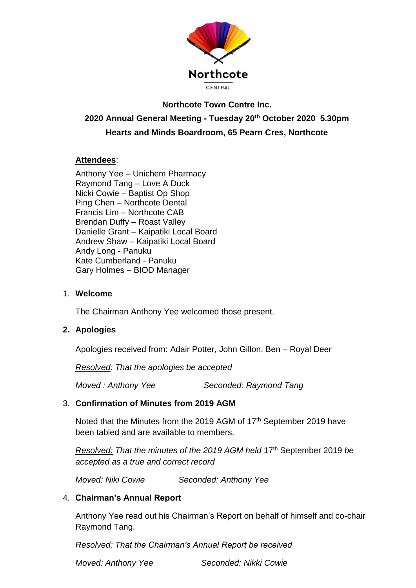

# **Northcote Town Centre Inc. 2020 Annual General Meeting - Tuesday 20th October 2020 5.30pm Hearts and Minds Boardroom, 65 Pearn Cres, Northcote**

# **Attendees**:

Anthony Yee – Unichem Pharmacy Raymond Tang – Love A Duck Nicki Cowie – Baptist Op Shop Ping Chen – Northcote Dental Francis Lim – Northcote CAB Brendan Duffy – Roast Valley Danielle Grant – Kaipatiki Local Board Andrew Shaw – Kaipatiki Local Board Andy Long - Panuku Kate Cumberland - Panuku Gary Holmes – BIOD Manager

#### 1. **Welcome**

The Chairman Anthony Yee welcomed those present.

### **2. Apologies**

Apologies received from: Adair Potter, John Gillon, Ben – Royal Deer

*Resolved: That the apologies be accepted*

*Moved : Anthony Yee Seconded: Raymond Tang*

### 3. **Confirmation of Minutes from 2019 AGM**

Noted that the Minutes from the 2019 AGM of  $17<sup>th</sup>$  September 2019 have been tabled and are available to members.

*Resolved: That the minutes of the 2019 AGM held* 17th September 2019 *be accepted as a true and correct record*

*Moved: Niki Cowie Seconded: Anthony Yee*

### 4. **Chairman's Annual Report**

Anthony Yee read out his Chairman's Report on behalf of himself and co-chair Raymond Tang.

*Resolved: That the Chairman's Annual Report be received*

*Moved: Anthony Yee Seconded: Nikki Cowie*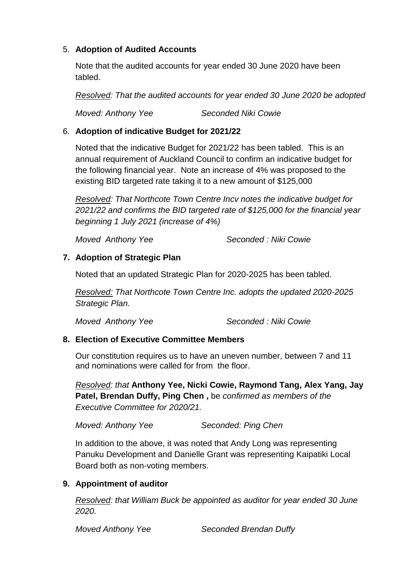### 5. **Adoption of Audited Accounts**

Note that the audited accounts for year ended 30 June 2020 have been tabled.

*Resolved: That the audited accounts for year ended 30 June 2020 be adopted* 

*Moved: Anthony Yee Seconded Niki Cowie*

### 6. **Adoption of indicative Budget for 2021/22**

Noted that the indicative Budget for 2021/22 has been tabled. This is an annual requirement of Auckland Council to confirm an indicative budget for the following financial year. Note an increase of 4% was proposed to the existing BID targeted rate taking it to a new amount of \$125,000

*Resolved: That Northcote Town Centre Incv notes the indicative budget for 2021/22 and confirms the BID targeted rate of \$125,000 for the financial year beginning 1 July 2021 (increase of 4%)*

*Moved Anthony Yee Seconded : Niki Cowie*

# **7. Adoption of Strategic Plan**

Noted that an updated Strategic Plan for 2020-2025 has been tabled.

*Resolved: That Northcote Town Centre Inc. adopts the updated 2020-2025 Strategic Plan.*

*Moved Anthony Yee Seconded : Niki Cowie*

# **8. Election of Executive Committee Members**

Our constitution requires us to have an uneven number, between 7 and 11 and nominations were called for from the floor.

*Resolved: that* **Anthony Yee, Nicki Cowie, Raymond Tang, Alex Yang, Jay Patel, Brendan Duffy, Ping Chen ,** be *confirmed as members of the Executive Committee for 2020/21.*

*Moved: Anthony Yee Seconded: Ping Chen*

In addition to the above, it was noted that Andy Long was representing Panuku Development and Danielle Grant was representing Kaipatiki Local Board both as non-voting members.

# **9. Appointment of auditor**

*Resolved: that William Buck be appointed as auditor for year ended 30 June 2020.*

*Moved Anthony Yee Seconded Brendan Duffy*